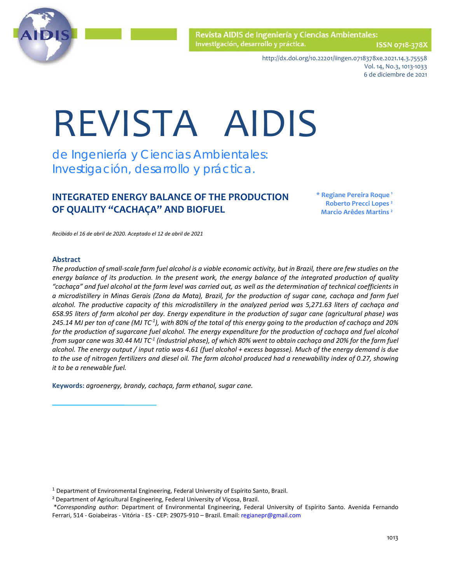

ISSN 0718-378)

http://dx.doi.org/10.22201/iingen.0718378xe.2021.14.3.75558 Vol. 14, No.3, 1013-1033 6 de diciembre de 2021

# REVISTA AIDIS

de Ingeniería y Ciencias Ambientales: Investigación, desarrollo y práctica.

# **INTEGRATED ENERGY BALANCE OF THE PRODUCTION OF QUALITY "CACHAÇA" AND BIOFUEL**

**\* Regiane Pereira Roque 1 Roberto Precci Lopes ² Marcio Arêdes Martins ²**

*Recibido el 16 de abril de 2020. Aceptado el 12 de abril de 2021*

#### **Abstract**

*The production of small-scale farm fuel alcohol is a viable economic activity, but in Brazil, there are few studies on the energy balance of its production. In the present work, the energy balance of the integrated production of quality "cachaça" and fuel alcohol at the farm level was carried out, as well as the determination of technical coefficients in a microdistillery in Minas Gerais (Zona da Mata), Brazil, for the production of sugar cane, cachaça and farm fuel alcohol. The productive capacity of this microdistillery in the analyzed period was 5,271.63 liters of cachaça and 658.95 liters of farm alcohol per day. Energy expenditure in the production of sugar cane (agricultural phase) was 245.14 MJ per ton of cane (MJ TC-1 ), with 80% of the total of this energy going to the production of cachaça and 20% for the production of sugarcane fuel alcohol. The energy expenditure for the production of cachaça and fuel alcohol from sugar cane was 30.44 MJ TC-1 (industrial phase), of which 80% went to obtain cachaça and 20% for the farm fuel alcohol. The energy output / input ratio was 4.61 (fuel alcohol + excess bagasse). Much of the energy demand is due to the use of nitrogen fertilizers and diesel oil. The farm alcohol produced had a renewability index of 0.27, showing it to be a renewable fuel.*

**Keywords:** *agroenergy, brandy, cachaça, farm ethanol, sugar cane.*

<sup>1</sup> Department of Environmental Engineering, Federal University of Espírito Santo, Brazil.

² Department of Agricultural Engineering, Federal University of Viçosa, Brazil.

\**Corresponding author*: Department of Environmental Engineering, Federal University of Espírito Santo. Avenida Fernando Ferrari, 514 - Goiabeiras - Vitória - ES - CEP: 29075-910 – Brazil. Email[: regianepr@gmail.com](mailto:regianepr@gmail.com)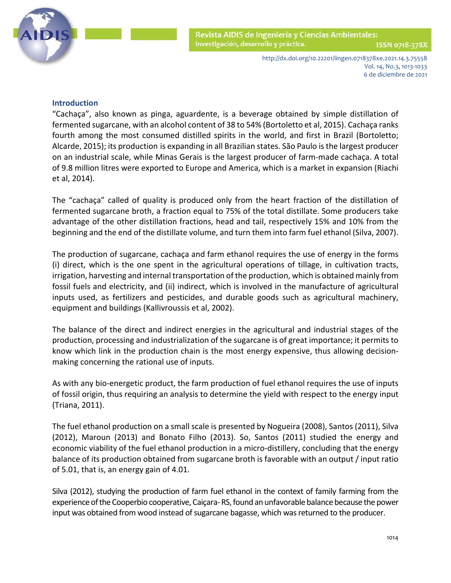

> http://dx.doi.org/10.22201/iingen.0718378xe.2021.14.3.75558 Vol. 14, No.3, 1013-1033 6 de diciembre de 2021

# **Introduction**

"Cachaça", also known as pinga, aguardente, is a beverage obtained by simple distillation of fermented sugarcane, with an alcohol content of 38 to 54% (Bortoletto et al, 2015). Cachaça ranks fourth among the most consumed distilled spirits in the world, and first in Brazil (Bortoletto; Alcarde, 2015); its production is expanding in all Brazilian states. São Paulo is the largest producer on an industrial scale, while Minas Gerais is the largest producer of farm-made cachaça. A total of 9.8 million litres were exported to Europe and America, which is a market in expansion (Riachi et al, 2014).

The "cachaça" called of quality is produced only from the heart fraction of the distillation of fermented sugarcane broth, a fraction equal to 75% of the total distillate. Some producers take advantage of the other distillation fractions, head and tail, respectively 15% and 10% from the beginning and the end of the distillate volume, and turn them into farm fuel ethanol (Silva, 2007).

The production of sugarcane, cachaça and farm ethanol requires the use of energy in the forms (i) direct, which is the one spent in the agricultural operations of tillage, in cultivation tracts, irrigation, harvesting and internal transportation of the production, which is obtained mainly from fossil fuels and electricity, and (ii) indirect, which is involved in the manufacture of agricultural inputs used, as fertilizers and pesticides, and durable goods such as agricultural machinery, equipment and buildings (Kallivroussis et al, 2002).

The balance of the direct and indirect energies in the agricultural and industrial stages of the production, processing and industrialization of the sugarcane is of great importance; it permits to know which link in the production chain is the most energy expensive, thus allowing decisionmaking concerning the rational use of inputs.

As with any bio-energetic product, the farm production of fuel ethanol requires the use of inputs of fossil origin, thus requiring an analysis to determine the yield with respect to the energy input (Triana, 2011).

The fuel ethanol production on a small scale is presented by Nogueira (2008), Santos (2011), Silva (2012), Maroun (2013) and Bonato Filho (2013). So, Santos (2011) studied the energy and economic viability of the fuel ethanol production in a micro-distillery, concluding that the energy balance of its production obtained from sugarcane broth is favorable with an output / input ratio of 5.01, that is, an energy gain of 4.01.

Silva (2012), studying the production of farm fuel ethanol in the context of family farming from the experience of the Cooperbio cooperative, Caiçara-RS, found an unfavorable balance because the power input was obtained from wood instead of sugarcane bagasse, which was returned to the producer.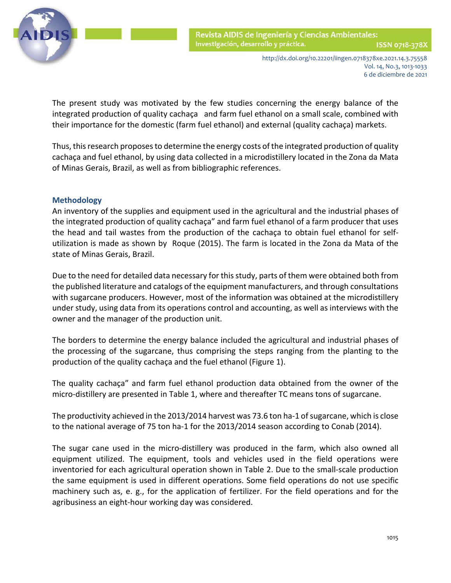

 The present study was motivated by the few studies concerning the energy balance of the integrated production of quality cachaça and farm fuel ethanol on a small scale, combined with their importance for the domestic (farm fuel ethanol) and external (quality cachaça) markets.

Thus, this research proposes to determine the energy costs of the integrated production of quality cachaça and fuel ethanol, by using data collected in a microdistillery located in the Zona da Mata of Minas Gerais, Brazil, as well as from bibliographic references.

# **Methodology**

An inventory of the supplies and equipment used in the agricultural and the industrial phases of the integrated production of quality cachaça" and farm fuel ethanol of a farm producer that uses the head and tail wastes from the production of the cachaça to obtain fuel ethanol for selfutilization is made as shown by Roque (2015). The farm is located in the Zona da Mata of the state of Minas Gerais, Brazil.

Due to the need for detailed data necessary for this study, parts of them were obtained both from the published literature and catalogs of the equipment manufacturers, and through consultations with sugarcane producers. However, most of the information was obtained at the microdistillery under study, using data from its operations control and accounting, as well as interviews with the owner and the manager of the production unit.

The borders to determine the energy balance included the agricultural and industrial phases of the processing of the sugarcane, thus comprising the steps ranging from the planting to the production of the quality cachaça and the fuel ethanol (Figure 1).

The quality cachaça" and farm fuel ethanol production data obtained from the owner of the micro-distillery are presented in Table 1, where and thereafter TC means tons of sugarcane.

The productivity achieved in the 2013/2014 harvest was 73.6 ton ha-1 of sugarcane, which is close to the national average of 75 ton ha-1 for the 2013/2014 season according to Conab (2014).

The sugar cane used in the micro-distillery was produced in the farm, which also owned all equipment utilized. The equipment, tools and vehicles used in the field operations were inventoried for each agricultural operation shown in Table 2. Due to the small-scale production the same equipment is used in different operations. Some field operations do not use specific machinery such as, e. g., for the application of fertilizer. For the field operations and for the agribusiness an eight-hour working day was considered.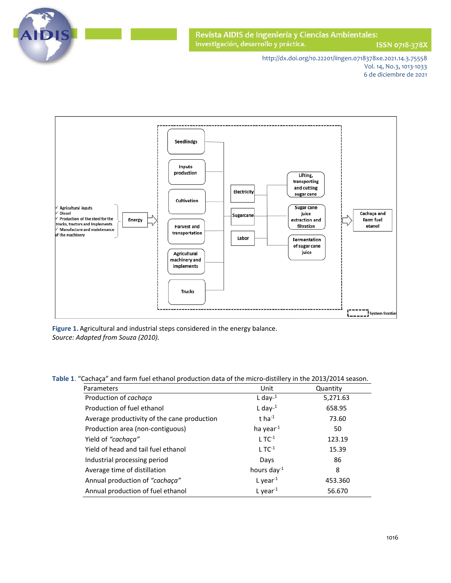

ISSN 0718-378X

http://dx.doi.org/10.22201/iingen.0718378xe.2021.14.3.75558 Vol. 14, No.3, 1013-1033 6 de diciembre de 2021



**Figure 1.** Agricultural and industrial steps considered in the energy balance. *Source: Adapted from Souza (2010).*

**Table 1**. "Cachaça" and farm fuel ethanol production data of the micro-distillery in the 2013/2014 season.

| Parameters                                  | Unit              | Quantity |
|---------------------------------------------|-------------------|----------|
| Production of cachaça                       | L day $^{-1}$     | 5,271.63 |
| Production of fuel ethanol                  | L day $-1$        | 658.95   |
| Average productivity of the cane production | t ha $^{-1}$      | 73.60    |
| Production area (non-contiguous)            | ha year $1$       | 50       |
| Yield of "cachaça"                          | $LTC-1$           | 123.19   |
| Yield of head and tail fuel ethanol         | $1 T C-1$         | 15.39    |
| Industrial processing period                | Days              | 86       |
| Average time of distillation                | hours day $^{-1}$ | 8        |
| Annual production of "cachaça"              | L year $^{-1}$    | 453.360  |
| Annual production of fuel ethanol           | L year $^{-1}$    | 56.670   |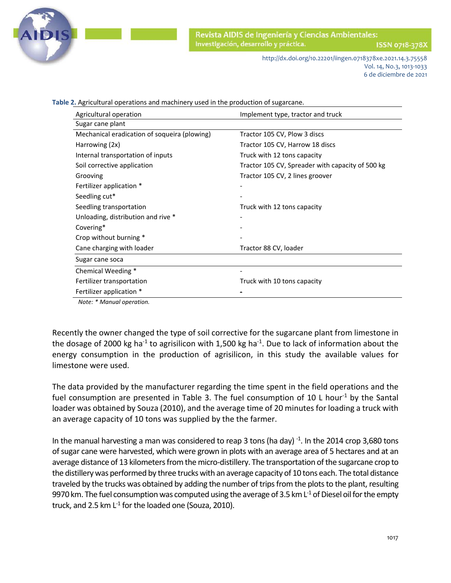

ISSN 0718-378)

http://dx.doi.org/10.22201/iingen.0718378xe.2021.14.3.75558 Vol. 14, No.3, 1013-1033 6 de diciembre de 2021

 **Table 2.** Agricultural operations and machinery used in the production of sugarcane. Agricultural operation **Implement type**, tractor and truck Sugar cane plant Mechanical eradication of soqueira (plowing) Tractor 105 CV, Plow 3 discs Harrowing (2x) Tractor 105 CV, Harrow 18 discs Internal transportation of inputs Truck with 12 tons capacity Soil corrective application Tractor 105 CV, Spreader with capacity of 500 kg Grooving Grooving Communication of the Tractor 105 CV, 2 lines groover Fertilizer application \* Seedling cut\* Seedling transportation Truck with 12 tons capacity Unloading, distribution and rive \* Covering\* Crop without burning \* Cane charging with loader Tractor 88 CV, loader Sugar cane soca Chemical Weeding \* Fertilizer transportation Truck with 10 tons capacity Fertilizer application \* *Note: \* Manual operation.*

Recently the owner changed the type of soil corrective for the sugarcane plant from limestone in the dosage of 2000 kg ha<sup>-1</sup> to agrisilicon with 1,500 kg ha<sup>-1</sup>. Due to lack of information about the energy consumption in the production of agrisilicon, in this study the available values for limestone were used.

The data provided by the manufacturer regarding the time spent in the field operations and the fuel consumption are presented in Table 3. The fuel consumption of 10 L hour<sup>-1</sup> by the Santal loader was obtained by Souza (2010), and the average time of 20 minutes for loading a truck with an average capacity of 10 tons was supplied by the the farmer.

In the manual harvesting a man was considered to reap 3 tons (ha day) $^{-1}$ . In the 2014 crop 3,680 tons of sugar cane were harvested, which were grown in plots with an average area of 5 hectares and at an average distance of 13 kilometers from the micro-distillery. The transportation of the sugarcane crop to the distillery was performed by three trucks with an average capacity of 10 tons each. The total distance traveled by the trucks was obtained by adding the number of trips from the plots to the plant, resulting 9970 km. The fuel consumption was computed using the average of 3.5 km  $L^1$  of Diesel oil for the empty truck, and 2.5 km  $L^1$  for the loaded one (Souza, 2010).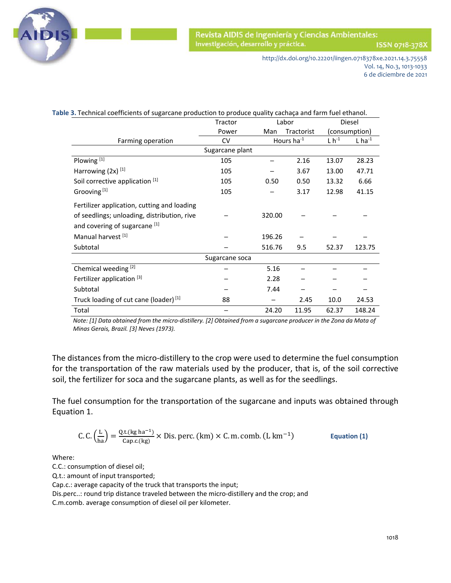

ISSN 0718-378X

http://dx.doi.org/10.22201/iingen.0718378xe.2021.14.3.75558 Vol. 14, No.3, 1013-1033 6 de diciembre de 2021

|                                                   | Table 3. Technical coefficients of sugarcane production to produce quality cachaça and farm fuel ethanol. |        |            |               |                      |  |
|---------------------------------------------------|-----------------------------------------------------------------------------------------------------------|--------|------------|---------------|----------------------|--|
|                                                   | Tractor                                                                                                   | Labor  |            |               | Diesel               |  |
|                                                   | Power                                                                                                     | Man    | Tractorist |               | (consumption)        |  |
| Farming operation                                 | <b>CV</b>                                                                                                 |        | Hours ha-1 | $L \, h^{-1}$ | $L$ ha <sup>-1</sup> |  |
|                                                   | Sugarcane plant                                                                                           |        |            |               |                      |  |
| Plowing <sup>[1]</sup>                            | 105                                                                                                       |        | 2.16       | 13.07         | 28.23                |  |
| Harrowing $(2x)^{[1]}$                            | 105                                                                                                       |        | 3.67       | 13.00         | 47.71                |  |
| Soil corrective application [1]                   | 105                                                                                                       | 0.50   | 0.50       | 13.32         | 6.66                 |  |
| Grooving <sup>[1]</sup>                           | 105                                                                                                       |        | 3.17       | 12.98         | 41.15                |  |
| Fertilizer application, cutting and loading       |                                                                                                           |        |            |               |                      |  |
| of seedlings; unloading, distribution, rive       |                                                                                                           | 320.00 |            |               |                      |  |
| and covering of sugarcane [1]                     |                                                                                                           |        |            |               |                      |  |
| Manual harvest [1]                                |                                                                                                           | 196.26 |            |               |                      |  |
| Subtotal                                          |                                                                                                           | 516.76 | 9.5        | 52.37         | 123.75               |  |
|                                                   | Sugarcane soca                                                                                            |        |            |               |                      |  |
| Chemical weeding [2]                              |                                                                                                           | 5.16   |            |               |                      |  |
| Fertilizer application [3]                        |                                                                                                           | 2.28   |            |               |                      |  |
| Subtotal                                          |                                                                                                           | 7.44   |            |               |                      |  |
| Truck loading of cut cane (loader) <sup>[1]</sup> | 88                                                                                                        |        | 2.45       | 10.0          | 24.53                |  |
| Total                                             |                                                                                                           | 24.20  | 11.95      | 62.37         | 148.24               |  |

*Note: [1] Data obtained from the micro-distillery. [2] Obtained from a sugarcane producer in the Zona da Mata of Minas Gerais, Brazil. [3] Neves (1973).*

The distances from the micro-distillery to the crop were used to determine the fuel consumption for the transportation of the raw materials used by the producer, that is, of the soil corrective soil, the fertilizer for soca and the sugarcane plants, as well as for the seedlings.

The fuel consumption for the transportation of the sugarcane and inputs was obtained through Equation 1.

C. C. 
$$
\left(\frac{L}{ha}\right) = \frac{Q.t.(kg ha^{-1})}{Cap.c.(kg)} \times Dis. perc. (km) \times C.m. comb. (L km-1)
$$
 Equation (1)

Where:

C.C.: consumption of diesel oil;

Q.t.: amount of input transported;

Cap.c.: average capacity of the truck that transports the input;

Dis.perc..: round trip distance traveled between the micro-distillery and the crop; and

C.m.comb. average consumption of diesel oil per kilometer.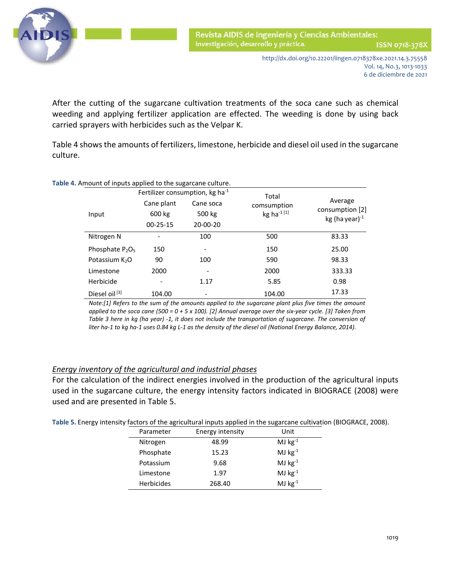

 After the cutting of the sugarcane cultivation treatments of the soca cane such as chemical weeding and applying fertilizer application are effected. The weeding is done by using back carried sprayers with herbicides such as the Velpar K.

Table 4 shows the amounts of fertilizers, limestone, herbicide and diesel oil used in the sugarcane culture.

| Table 4. Amount of inputs applied to the sugarcane culture. |                |                                       |                         |                                         |
|-------------------------------------------------------------|----------------|---------------------------------------|-------------------------|-----------------------------------------|
|                                                             |                | Fertilizer consumption, kg ha $^{-1}$ | Total                   |                                         |
|                                                             | Cane plant     | Cane soca                             | comsumption             | Average                                 |
| Input                                                       | 600 kg         | 500 kg                                | kg ha <sup>-1 [1]</sup> | consumption [2]<br>kg (ha year) $^{-1}$ |
|                                                             | $00 - 25 - 15$ | $20 - 00 - 20$                        |                         |                                         |
| Nitrogen N                                                  |                | 100                                   | 500                     | 83.33                                   |
| Phosphate $P_2O_5$                                          | 150            | $\qquad \qquad \blacksquare$          | 150                     | 25.00                                   |
| Potassium K <sub>2</sub> O                                  | 90             | 100                                   | 590                     | 98.33                                   |
| Limestone                                                   | 2000           |                                       | 2000                    | 333.33                                  |
| Herbicide                                                   |                | 1.17                                  | 5.85                    | 0.98                                    |
| Diesel oil <sup>[3]</sup>                                   | 104.00         | $\qquad \qquad \blacksquare$          | 104.00                  | 17.33                                   |

*Note:[1] Refers to the sum of the amounts applied to the sugarcane plant plus five times the amount applied to the soca cane (500 = 0 + 5 x 100). [2] Annual average over the six-year cycle. [3] Taken from Table 3 here in kg (ha year) -1, it does not include the transportation of sugarcane. The conversion of liter ha-1 to kg ha-1 uses 0.84 kg L-1 as the density of the diesel oil (National Energy Balance, 2014).*

# *Energy inventory of the agricultural and industrial phases*

For the calculation of the indirect energies involved in the production of the agricultural inputs used in the sugarcane culture, the energy intensity factors indicated in BIOGRACE (2008) were used and are presented in Table 5.

**Table 5.** Energy intensity factors of the agricultural inputs applied in the sugarcane cultivation (BIOGRACE, 2008).

| Parameter         | Energy intensity | Unit         |
|-------------------|------------------|--------------|
| Nitrogen          | 48.99            | MJ $kg^{-1}$ |
| Phosphate         | 15.23            | MJ $kg^{-1}$ |
| Potassium         | 9.68             | MJ $kg^{-1}$ |
| Limestone         | 1.97             | MJ $kg^{-1}$ |
| <b>Herbicides</b> | 268.40           | MJ $kg^{-1}$ |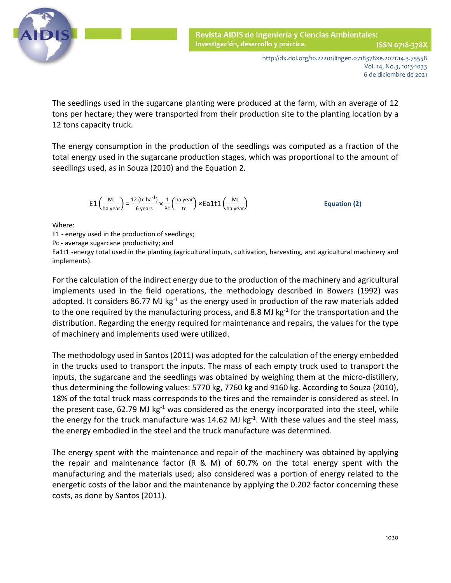

 The seedlings used in the sugarcane planting were produced at the farm, with an average of 12 tons per hectare; they were transported from their production site to the planting location by a 12 tons capacity truck.

The energy consumption in the production of the seedlings was computed as a fraction of the total energy used in the sugarcane production stages, which was proportional to the amount of seedlings used, as in Souza (2010) and the Equation 2.

$$
E1\left(\frac{MJ}{ha\,\text{year}}\right) = \frac{12\,\text{(tc ha}^{-1})}{6\,\text{years}} \times \frac{1}{\text{pc}}\left(\frac{ha\,\text{year}}{\text{tc}}\right) \times Ea1t1\left(\frac{MJ}{ha\,\text{year}}\right) \tag{2}
$$

Where:

E1 - energy used in the production of seedlings;

Pc - average sugarcane productivity; and

Ea1t1 -energy total used in the planting (agricultural inputs, cultivation, harvesting, and agricultural machinery and implements).

For the calculation of the indirect energy due to the production of the machinery and agricultural implements used in the field operations, the methodology described in Bowers (1992) was adopted. It considers 86.77 MJ kg $^{-1}$  as the energy used in production of the raw materials added to the one required by the manufacturing process, and 8.8 MJ kg $^{-1}$  for the transportation and the distribution. Regarding the energy required for maintenance and repairs, the values for the type of machinery and implements used were utilized.

The methodology used in Santos (2011) was adopted for the calculation of the energy embedded in the trucks used to transport the inputs. The mass of each empty truck used to transport the inputs, the sugarcane and the seedlings was obtained by weighing them at the micro-distillery, thus determining the following values: 5770 kg, 7760 kg and 9160 kg. According to Souza (2010), 18% of the total truck mass corresponds to the tires and the remainder is considered as steel. In the present case, 62.79 MJ kg<sup>-1</sup> was considered as the energy incorporated into the steel, while the energy for the truck manufacture was 14.62 MJ kg $^{-1}$ . With these values and the steel mass, the energy embodied in the steel and the truck manufacture was determined.

The energy spent with the maintenance and repair of the machinery was obtained by applying the repair and maintenance factor (R & M) of 60.7% on the total energy spent with the manufacturing and the materials used; also considered was a portion of energy related to the energetic costs of the labor and the maintenance by applying the 0.202 factor concerning these costs, as done by Santos (2011).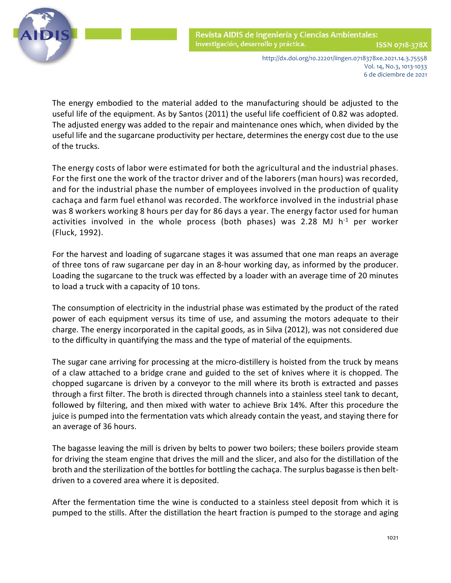

> http://dx.doi.org/10.22201/iingen.0718378xe.2021.14.3.75558 Vol. 14, No.3, 1013-1033

6 de diciembre de 2021

 The energy embodied to the material added to the manufacturing should be adjusted to the useful life of the equipment. As by Santos (2011) the useful life coefficient of 0.82 was adopted. The adjusted energy was added to the repair and maintenance ones which, when divided by the useful life and the sugarcane productivity per hectare, determines the energy cost due to the use of the trucks.

The energy costs of labor were estimated for both the agricultural and the industrial phases. For the first one the work of the tractor driver and of the laborers (man hours) was recorded, and for the industrial phase the number of employees involved in the production of quality cachaça and farm fuel ethanol was recorded. The workforce involved in the industrial phase was 8 workers working 8 hours per day for 86 days a year. The energy factor used for human activities involved in the whole process (both phases) was 2.28 MJ  $h^{-1}$  per worker (Fluck, 1992).

For the harvest and loading of sugarcane stages it was assumed that one man reaps an average of three tons of raw sugarcane per day in an 8-hour working day, as informed by the producer. Loading the sugarcane to the truck was effected by a loader with an average time of 20 minutes to load a truck with a capacity of 10 tons.

The consumption of electricity in the industrial phase was estimated by the product of the rated power of each equipment versus its time of use, and assuming the motors adequate to their charge. The energy incorporated in the capital goods, as in Silva (2012), was not considered due to the difficulty in quantifying the mass and the type of material of the equipments.

The sugar cane arriving for processing at the micro-distillery is hoisted from the truck by means of a claw attached to a bridge crane and guided to the set of knives where it is chopped. The chopped sugarcane is driven by a conveyor to the mill where its broth is extracted and passes through a first filter. The broth is directed through channels into a stainless steel tank to decant, followed by filtering, and then mixed with water to achieve Brix 14%. After this procedure the juice is pumped into the fermentation vats which already contain the yeast, and staying there for an average of 36 hours.

The bagasse leaving the mill is driven by belts to power two boilers; these boilers provide steam for driving the steam engine that drives the mill and the slicer, and also for the distillation of the broth and the sterilization of the bottles for bottling the cachaça. The surplus bagasse is then beltdriven to a covered area where it is deposited.

After the fermentation time the wine is conducted to a stainless steel deposit from which it is pumped to the stills. After the distillation the heart fraction is pumped to the storage and aging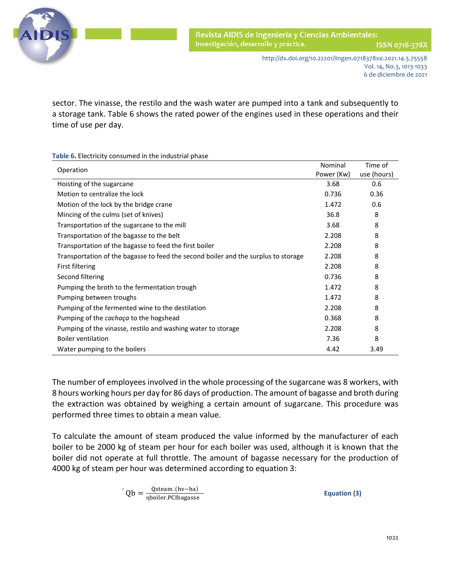

 sector. The vinasse, the restilo and the wash water are pumped into a tank and subsequently to a storage tank. Table 6 shows the rated power of the engines used in these operations and their time of use per day.

**Table 6.** Electricity consumed in the industrial phase

| Operation                                                                          |            | Time of     |
|------------------------------------------------------------------------------------|------------|-------------|
|                                                                                    | Power (Kw) | use (hours) |
| Hoisting of the sugarcane                                                          | 3.68       | 0.6         |
| Motion to centralize the lock                                                      | 0.736      | 0.36        |
| Motion of the lock by the bridge crane                                             | 1.472      | 0.6         |
| Mincing of the culms (set of knives)                                               | 36.8       | 8           |
| Transportation of the sugarcane to the mill                                        | 3.68       | 8           |
| Transportation of the bagasse to the belt                                          | 2.208      | 8           |
| Transportation of the bagasse to feed the first boiler                             | 2.208      | 8           |
| Transportation of the bagasse to feed the second boiler and the surplus to storage | 2.208      | 8           |
| First filtering                                                                    | 2.208      | 8           |
| Second filtering                                                                   | 0.736      | 8           |
| Pumping the broth to the fermentation trough                                       | 1.472      | 8           |
| Pumping between troughs                                                            | 1.472      | 8           |
| Pumping of the fermented wine to the destilation                                   | 2.208      | 8           |
| Pumping of the <i>cachaça</i> to the hogshead                                      | 0.368      | 8           |
| Pumping of the vinasse, restilo and washing water to storage                       | 2.208      | 8           |
| <b>Boiler ventilation</b>                                                          | 7.36       | 8           |
| Water pumping to the boilers                                                       | 4.42       | 3.49        |

The number of employees involved in the whole processing of the sugarcane was 8 workers, with 8 hours working hours per day for 86 days of production. The amount of bagasse and broth during the extraction was obtained by weighing a certain amount of sugarcane. This procedure was performed three times to obtain a mean value.

To calculate the amount of steam produced the value informed by the manufacturer of each boiler to be 2000 kg of steam per hour for each boiler was used, although it is known that the boiler did not operate at full throttle. The amount of bagasse necessary for the production of 4000 kg of steam per hour was determined according to equation 3:

$$
Qb = \frac{\dot{Q} \text{steam.(hv-ha)}}{\text{n} \text{bcoiler.PClbagasse}}
$$
 **Equation (3)**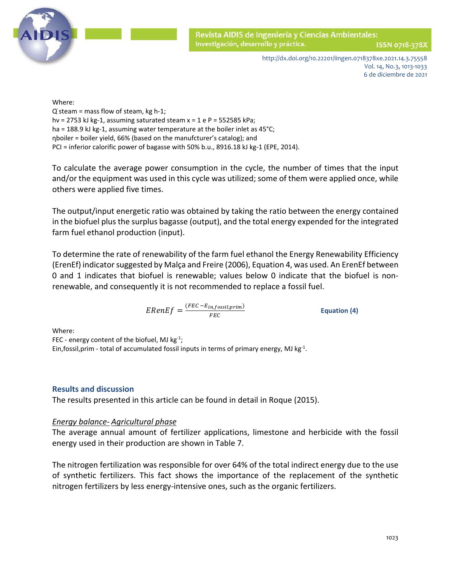

Where: where the contract of the contract of the contract of the contract of the contract of the contract of the contract of the contract of the contract of the contract of the contract of the contract of the contract of t Q ̇steam = mass flow of steam, kg h-1; hv = 2753 kJ kg-1, assuming saturated steam  $x = 1$  e P = 552585 kPa; ha = 188.9 kJ kg-1, assuming water temperature at the boiler inlet as 45°C; ɳboiler = boiler yield, 66% (based on the manufcturer's catalog); and PCI = inferior calorific power of bagasse with 50% b.u., 8916.18 kJ kg-1 (EPE, 2014).

To calculate the average power consumption in the cycle, the number of times that the input and/or the equipment was used in this cycle was utilized; some of them were applied once, while others were applied five times.

The output/input energetic ratio was obtained by taking the ratio between the energy contained in the biofuel plus the surplus bagasse (output), and the total energy expended for the integrated farm fuel ethanol production (input).

To determine the rate of renewability of the farm fuel ethanol the Energy Renewability Efficiency (ErenEf) indicator suggested by Malça and Freire (2006), Equation 4, was used. An ErenEf between 0 and 1 indicates that biofuel is renewable; values below 0 indicate that the biofuel is nonrenewable, and consequently it is not recommended to replace a fossil fuel.

 $ERenEf = \frac{(FEC - E_{in, fossil, prim})}{FEC}$  Equation (4)

Where:

FEC - energy content of the biofuel, MJ  $kg^{-1}$ ;

Ein, fossil, prim - total of accumulated fossil inputs in terms of primary energy, MJ kg $^{-1}$ .

# **Results and discussion**

The results presented in this article can be found in detail in Roque (2015).

# *Energy balance- Agricultural phase*

The average annual amount of fertilizer applications, limestone and herbicide with the fossil energy used in their production are shown in Table 7.

The nitrogen fertilization was responsible for over 64% of the total indirect energy due to the use of synthetic fertilizers. This fact shows the importance of the replacement of the synthetic nitrogen fertilizers by less energy-intensive ones, such as the organic fertilizers.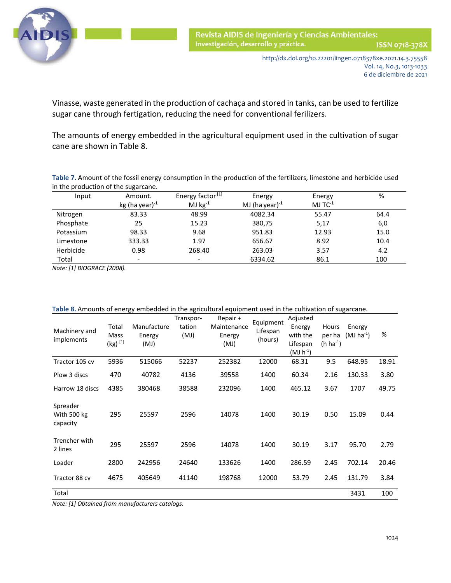

 Vinasse, waste generated in the production of cachaça and stored in tanks, can be used to fertilize sugar cane through fertigation, reducing the need for conventional ferilizers.

The amounts of energy embedded in the agricultural equipment used in the cultivation of sugar cane are shown in Table 8.

**Table 7.** Amount of the fossil energy consumption in the production of the fertilizers, limestone and herbicide used in the production of the sugarcane.

| Input     | Amount.                  | Energy factor <sup>[1]</sup> | Energy               | Energy          | %    |
|-----------|--------------------------|------------------------------|----------------------|-----------------|------|
|           | $kg (ha year)^{-1}$      | MJ $kg^{-1}$                 | MJ (ha year) $^{-1}$ | $MJ$ TC $^{-1}$ |      |
| Nitrogen  | 83.33                    | 48.99                        | 4082.34              | 55.47           | 64.4 |
| Phosphate | 25                       | 15.23                        | 380,75               | 5,17            | 6,0  |
| Potassium | 98.33                    | 9.68                         | 951.83               | 12.93           | 15.0 |
| Limestone | 333.33                   | 1.97                         | 656.67               | 8.92            | 10.4 |
| Herbicide | 0.98                     | 268.40                       | 263.03               | 3.57            | 4.2  |
| Total     | $\overline{\phantom{0}}$ |                              | 6334.62              | 86.1            | 100  |

*Note: [1] BIOGRACE (2008).*

| Machinery and<br>implements         | Total<br>Mass<br>$(kg)^{[1]}$ | Manufacture<br>Energy<br>(MJ) | Transpor-<br>tation<br>(MJ) | Repair +<br>Maintenance<br>Energy<br>(MJ) | Equipment<br>Lifespan<br>(hours) | Adjusted<br>Energy<br>with the<br>Lifespan<br>$(MJ h^{-1})$ | Hours<br>per ha<br>$(h ha^{-1})$ | Energy<br>$(MJ)$ ha <sup>-1</sup> ) | %     |
|-------------------------------------|-------------------------------|-------------------------------|-----------------------------|-------------------------------------------|----------------------------------|-------------------------------------------------------------|----------------------------------|-------------------------------------|-------|
| Tractor 105 cv                      | 5936                          | 515066                        | 52237                       | 252382                                    | 12000                            | 68.31                                                       | 9.5                              | 648.95                              | 18.91 |
| Plow 3 discs                        | 470                           | 40782                         | 4136                        | 39558                                     | 1400                             | 60.34                                                       | 2.16                             | 130.33                              | 3.80  |
| Harrow 18 discs                     | 4385                          | 380468                        | 38588                       | 232096                                    | 1400                             | 465.12                                                      | 3.67                             | 1707                                | 49.75 |
| Spreader<br>With 500 kg<br>capacity | 295                           | 25597                         | 2596                        | 14078                                     | 1400                             | 30.19                                                       | 0.50                             | 15.09                               | 0.44  |
| Trencher with<br>2 lines            | 295                           | 25597                         | 2596                        | 14078                                     | 1400                             | 30.19                                                       | 3.17                             | 95.70                               | 2.79  |
| Loader                              | 2800                          | 242956                        | 24640                       | 133626                                    | 1400                             | 286.59                                                      | 2.45                             | 702.14                              | 20.46 |
| Tractor 88 cv                       | 4675                          | 405649                        | 41140                       | 198768                                    | 12000                            | 53.79                                                       | 2.45                             | 131.79                              | 3.84  |
| Total                               |                               |                               |                             |                                           |                                  |                                                             |                                  | 3431                                | 100   |

| Table 8. Amounts of energy embedded in the agricultural equipment used in the cultivation of sugarcane. |  |
|---------------------------------------------------------------------------------------------------------|--|
|---------------------------------------------------------------------------------------------------------|--|

*Note: [1] Obtained from manufacturers catalogs.*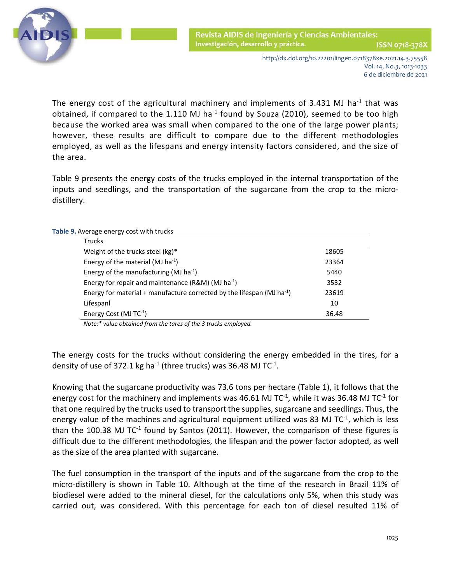

> http://dx.doi.org/10.22201/iingen.0718378xe.2021.14.3.75558 Vol. 14, No.3, 1013-1033 6 de diciembre de 2021

The energy cost of the agricultural machinery and implements of 3.431 MJ ha<sup>-1</sup> that was obtained, if compared to the 1.110 MJ ha<sup>-1</sup> found by Souza (2010), seemed to be too high because the worked area was small when compared to the one of the large power plants; however, these results are difficult to compare due to the different methodologies employed, as well as the lifespans and energy intensity factors considered, and the size of the area.

Table 9 presents the energy costs of the trucks employed in the internal transportation of the inputs and seedlings, and the transportation of the sugarcane from the crop to the microdistillery.

#### **Table 9.** Average energy cost with trucks

| <b>Trucks</b>                                                                      |       |  |
|------------------------------------------------------------------------------------|-------|--|
| Weight of the trucks steel (kg)*                                                   | 18605 |  |
| Energy of the material (MJ ha $^{-1}$ )                                            | 23364 |  |
| Energy of the manufacturing (MJ $ha^{-1}$ )                                        | 5440  |  |
| Energy for repair and maintenance (R&M) (MJ ha <sup>-1</sup> )                     | 3532  |  |
| Energy for material + manufacture corrected by the lifespan (MJ ha <sup>-1</sup> ) | 23619 |  |
| Lifespanl                                                                          | 10    |  |
| Energy Cost (MJ $TC^{-1}$ )                                                        | 36.48 |  |

*Note:\* value obtained from the tares of the 3 trucks employed.*

The energy costs for the trucks without considering the energy embedded in the tires, for a density of use of 372.1 kg ha<sup>-1</sup> (three trucks) was 36.48 MJ TC<sup>-1</sup>.

Knowing that the sugarcane productivity was 73.6 tons per hectare (Table 1), it follows that the energy cost for the machinery and implements was 46.61 MJ  $TC^{-1}$ , while it was 36.48 MJ  $TC^{-1}$  for that one required by the trucks used to transport the supplies, sugarcane and seedlings. Thus, the energy value of the machines and agricultural equipment utilized was 83 MJ  $TC^{-1}$ , which is less than the 100.38 MJ  $TC^{-1}$  found by Santos (2011). However, the comparison of these figures is difficult due to the different methodologies, the lifespan and the power factor adopted, as well as the size of the area planted with sugarcane.

The fuel consumption in the transport of the inputs and of the sugarcane from the crop to the micro-distillery is shown in Table 10. Although at the time of the research in Brazil 11% of biodiesel were added to the mineral diesel, for the calculations only 5%, when this study was carried out, was considered. With this percentage for each ton of diesel resulted 11% of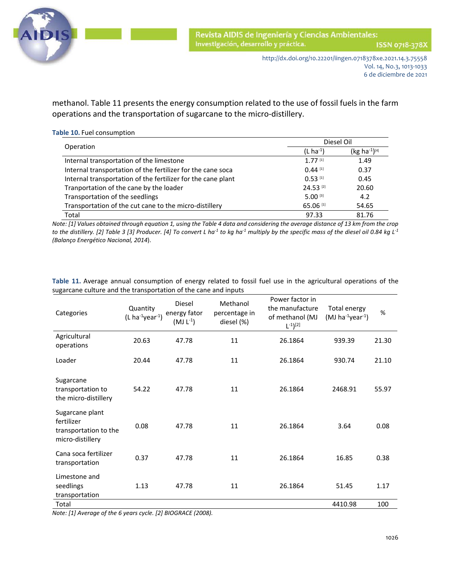

 methanol. Table 11 presents the energy consumption related to the use of fossil fuels in the farm operations and the transportation of sugarcane to the micro-distillery.

| Table 10. Fuel consumption                                   |               | Diesel Oil                |
|--------------------------------------------------------------|---------------|---------------------------|
| Operation                                                    | $(L ha^{-1})$ | (kg ha <sup>-1</sup> )[4] |
| Internal transportation of the limestone                     | 1.77[1]       | 1.49                      |
| Internal transportation of the fertilizer for the cane soca  | $0.44$ [1]    | 0.37                      |
| Internal transportation of the fertilizer for the cane plant | $0.53$ [1]    | 0.45                      |
| Tranportation of the cane by the loader                      | 24.53 [2]     | 20.60                     |
| Transportation of the seedlings                              | $5.00$ [3]    | 4.2                       |
| Transportation of the cut cane to the micro-distillery       | 65.06 [1]     | 54.65                     |
| Total                                                        | 97.33         | 81.76                     |

*Note: [1] Values obtained through equation 1, using the Table 4 data and considering the average distance of 13 km from the crop to the distillery. [2] Table 3 [3] Producer. [4] To convert L ha-1 to kg ha-1 multiply by the specific mass of the diesel oil 0.84 kg L-1 (Balanço Energético Nacional, 2014*).

| Categories                                                                 | Quantity<br>$(L ha^{-1}year^{-1})$ | <b>Diesel</b><br>energy fator<br>$(MJ L^{-1})$ | Methanol<br>percentage in<br>diesel (%) | Power factor in<br>the manufacture<br>of methanol (MJ<br>$L^{-1}$ ) <sup>[2]</sup> | Total energy<br>(MJ ha $^{-1}$ year $^{-1}$ ) | %     |  |
|----------------------------------------------------------------------------|------------------------------------|------------------------------------------------|-----------------------------------------|------------------------------------------------------------------------------------|-----------------------------------------------|-------|--|
| Agricultural<br>operations                                                 | 20.63                              | 47.78                                          | 11                                      | 26.1864                                                                            | 939.39                                        | 21.30 |  |
| Loader                                                                     | 20.44                              | 47.78                                          | 11                                      | 26.1864                                                                            | 930.74                                        | 21.10 |  |
| Sugarcane<br>transportation to<br>the micro-distillery                     | 54.22                              | 47.78                                          | 11                                      | 26.1864                                                                            | 2468.91                                       | 55.97 |  |
| Sugarcane plant<br>fertilizer<br>transportation to the<br>micro-distillery | 0.08                               | 47.78                                          | 11                                      | 26.1864                                                                            | 3.64                                          | 0.08  |  |
| Cana soca fertilizer<br>transportation                                     | 0.37                               | 47.78                                          | 11                                      | 26.1864                                                                            | 16.85                                         | 0.38  |  |
| Limestone and<br>seedlings<br>transportation                               | 1.13                               | 47.78                                          | 11                                      | 26.1864                                                                            | 51.45                                         | 1.17  |  |
| Total                                                                      |                                    |                                                |                                         |                                                                                    | 4410.98                                       | 100   |  |

**Table 11.** Average annual consumption of energy related to fossil fuel use in the agricultural operations of the sugarcane culture and the transportation of the cane and inputs

*Note: [1] Average of the 6 years cycle. [2] BIOGRACE (2008).*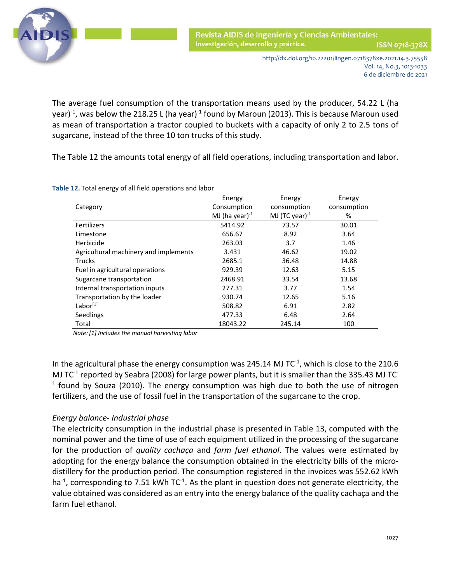

 The average fuel consumption of the transportation means used by the producer, 54.22 L (ha year) $^{-1}$ , was below the 218.25 L (ha year) $^{-1}$  found by Maroun (2013). This is because Maroun used as mean of transportation a tractor coupled to buckets with a capacity of only 2 to 2.5 tons of sugarcane, instead of the three 10 ton trucks of this study.

The Table 12 the amounts total energy of all field operations, including transportation and labor.

|                                       | Energy               | Energy               | Energy      |
|---------------------------------------|----------------------|----------------------|-------------|
| Category                              | Consumption          | consumption          | consumption |
|                                       | MJ (ha year) $^{-1}$ | MJ (TC year) $^{-1}$ | %           |
| <b>Fertilizers</b>                    | 5414.92              | 73.57                | 30.01       |
| Limestone                             | 656.67               | 8.92                 | 3.64        |
| Herbicide                             | 263.03               | 3.7                  | 1.46        |
| Agricultural machinery and implements | 3.431                | 46.62                | 19.02       |
| <b>Trucks</b>                         | 2685.1               | 36.48                | 14.88       |
| Fuel in agricultural operations       | 929.39               | 12.63                | 5.15        |
| Sugarcane transportation              | 2468.91              | 33.54                | 13.68       |
| Internal transportation inputs        | 277.31               | 3.77                 | 1.54        |
| Transportation by the loader          | 930.74               | 12.65                | 5.16        |
| Labor <sup>[1]</sup>                  | 508.82               | 6.91                 | 2.82        |
| Seedlings                             | 477.33               | 6.48                 | 2.64        |
| Total                                 | 18043.22             | 245.14               | 100         |

**Table 12.** Total energy of all field operations and labor

*Note: [1] Includes the manual harvesting labor*

In the agricultural phase the energy consumption was 245.14 MJ  $TC^{-1}$ , which is close to the 210.6 MJ TC $<sup>-1</sup>$  reported by Seabra (2008) for large power plants, but it is smaller than the 335.43 MJ TC $<sup>-1</sup>$ </sup></sup>  $1$  found by Souza (2010). The energy consumption was high due to both the use of nitrogen fertilizers, and the use of fossil fuel in the transportation of the sugarcane to the crop.

# *Energy balance- Industrial phase*

The electricity consumption in the industrial phase is presented in Table 13, computed with the nominal power and the time of use of each equipment utilized in the processing of the sugarcane for the production of *quality cachaça* and *farm fuel ethanol*. The values were estimated by adopting for the energy balance the consumption obtained in the electricity bills of the microdistillery for the production period. The consumption registered in the invoices was 552.62 kWh  $ha<sup>-1</sup>$ , corresponding to 7.51 kWh TC<sup>-1</sup>. As the plant in question does not generate electricity, the value obtained was considered as an entry into the energy balance of the quality cachaça and the farm fuel ethanol.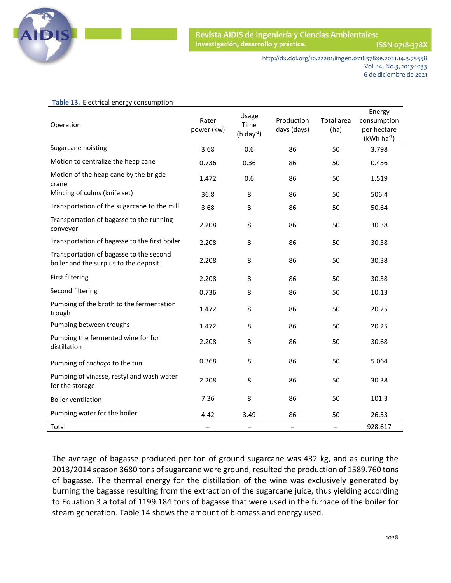

ISSN 0718-378X

http://dx.doi.org/10.22201/iingen.0718378xe.2021.14.3.75558 Vol. 14, No.3, 1013-1033 6 de diciembre de 2021

| Operation                                                                        | Rater<br>power (kw)      | Usage<br>Time<br>$(h day-1)$ | Production<br>days (days) | Total area<br>(ha)       | Energy<br>consumption<br>per hectare<br>$(kWh ha-1)$ |
|----------------------------------------------------------------------------------|--------------------------|------------------------------|---------------------------|--------------------------|------------------------------------------------------|
| Sugarcane hoisting                                                               | 3.68                     | 0.6                          | 86                        | 50                       | 3.798                                                |
| Motion to centralize the heap cane                                               | 0.736                    | 0.36                         | 86                        | 50                       | 0.456                                                |
| Motion of the heap cane by the brigde<br>crane                                   | 1.472                    | 0.6                          | 86                        | 50                       | 1.519                                                |
| Mincing of culms (knife set)                                                     | 36.8                     | 8                            | 86                        | 50                       | 506.4                                                |
| Transportation of the sugarcane to the mill                                      | 3.68                     | 8                            | 86                        | 50                       | 50.64                                                |
| Transportation of bagasse to the running<br>conveyor                             | 2.208                    | 8                            | 86                        | 50                       | 30.38                                                |
| Transportation of bagasse to the first boiler                                    | 2.208                    | 8                            | 86                        | 50                       | 30.38                                                |
| Transportation of bagasse to the second<br>boiler and the surplus to the deposit | 2.208                    | 8                            | 86                        | 50                       | 30.38                                                |
| First filtering                                                                  | 2.208                    | 8                            | 86                        | 50                       | 30.38                                                |
| Second filtering                                                                 | 0.736                    | 8                            | 86                        | 50                       | 10.13                                                |
| Pumping of the broth to the fermentation<br>trough                               | 1.472                    | 8                            | 86                        | 50                       | 20.25                                                |
| Pumping between troughs                                                          | 1.472                    | 8                            | 86                        | 50                       | 20.25                                                |
| Pumping the fermented wine for for<br>distillation                               | 2.208                    | 8                            | 86                        | 50                       | 30.68                                                |
| Pumping of cachaça to the tun                                                    | 0.368                    | 8                            | 86                        | 50                       | 5.064                                                |
| Pumping of vinasse, restyl and wash water<br>for the storage                     | 2.208                    | 8                            | 86                        | 50                       | 30.38                                                |
| <b>Boiler ventilation</b>                                                        | 7.36                     | 8                            | 86                        | 50                       | 101.3                                                |
| Pumping water for the boiler                                                     | 4.42                     | 3.49                         | 86                        | 50                       | 26.53                                                |
| Total                                                                            | $\overline{\phantom{0}}$ |                              | $\overline{\phantom{0}}$  | $\overline{\phantom{a}}$ | 928.617                                              |

#### **Table 13.** Electrical energy consumption

The average of bagasse produced per ton of ground sugarcane was 432 kg, and as during the 2013/2014 season 3680 tons of sugarcane were ground, resulted the production of 1589.760 tons of bagasse. The thermal energy for the distillation of the wine was exclusively generated by burning the bagasse resulting from the extraction of the sugarcane juice, thus yielding according to Equation 3 a total of 1199.184 tons of bagasse that were used in the furnace of the boiler for steam generation. Table 14 shows the amount of biomass and energy used.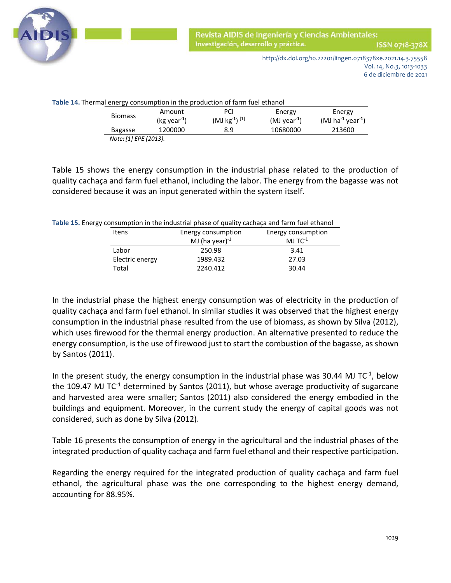

http://dx.doi.org/10.22201/iingen.0718378xe.2021.14.3.75558 Vol. 14, No.3, 1013-1033 6 de diciembre de 2021

| <b>Biomass</b> | Amount<br>$(kg \vee ar^{-1})$ | PCI<br>$(MJ kg-1)[1]$ | Energy<br>$(MJ \vee car^{-1})$ | Energy<br>$(MJ)$ ha <sup>-1</sup> year <sup>-1</sup> ) |
|----------------|-------------------------------|-----------------------|--------------------------------|--------------------------------------------------------|
| <b>Bagasse</b> | 1200000                       | 8.9                   | 10680000                       | 213600                                                 |

Table 15 shows the energy consumption in the industrial phase related to the production of quality cachaça and farm fuel ethanol, including the labor. The energy from the bagasse was not considered because it was an input generated within the system itself.

|       | Table 15. Energy consumption in the industrial phase of quality cachaça and farm fuel ethanol |                       |
|-------|-----------------------------------------------------------------------------------------------|-----------------------|
| Itens | Energy consumption                                                                            | Energy consumption    |
|       | MJ (ha vear) $^{-1}$                                                                          | $MJ$ TC <sup>-1</sup> |
| Labor | 250.98                                                                                        | 3.41                  |

Electric energy 1989.432 27.03 Total 2240.412 30.44

In the industrial phase the highest energy consumption was of electricity in the production of quality cachaça and farm fuel ethanol. In similar studies it was observed that the highest energy consumption in the industrial phase resulted from the use of biomass, as shown by Silva (2012), which uses firewood for the thermal energy production. An alternative presented to reduce the energy consumption, is the use of firewood just to start the combustion of the bagasse, as shown by Santos (2011).

In the present study, the energy consumption in the industrial phase was 30.44 MJ TC $<sup>-1</sup>$ , below</sup> the 109.47 MJ TC-1 determined by Santos (2011), but whose average productivity of sugarcane and harvested area were smaller; Santos (2011) also considered the energy embodied in the buildings and equipment. Moreover, in the current study the energy of capital goods was not

considered, such as done by Silva (2012).

Table 16 presents the consumption of energy in the agricultural and the industrial phases of the integrated production of quality cachaça and farm fuel ethanol and their respective participation.

Regarding the energy required for the integrated production of quality cachaça and farm fuel ethanol, the agricultural phase was the one corresponding to the highest energy demand, accounting for 88.95%.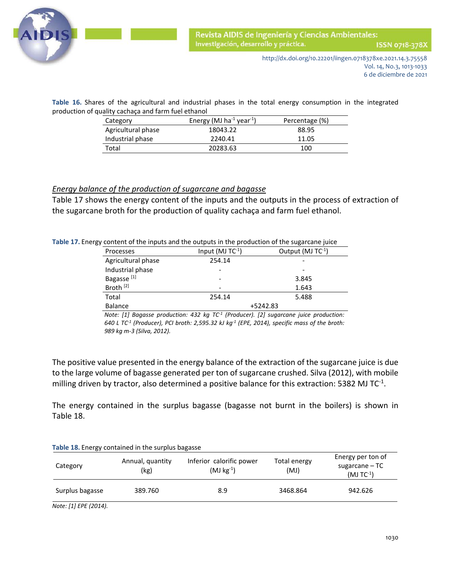

 **Table 16.** Shares of the agricultural and industrial phases in the total energy consumption in the integrated production of quality cachaça and farm fuel ethanol

| Category           | Energy (MJ ha <sup>-1</sup> year <sup>-1</sup> ) | Percentage (%) |  |
|--------------------|--------------------------------------------------|----------------|--|
| Agricultural phase | 18043.22                                         | 88.95          |  |
| Industrial phase   | 2240.41                                          | 11.05          |  |
| Total              | 20283.63                                         | 100            |  |

#### *Energy balance of the production of sugarcane and bagasse*

Table 17 shows the energy content of the inputs and the outputs in the process of extraction of the sugarcane broth for the production of quality cachaça and farm fuel ethanol.

|  |  |  | Table 17. Energy content of the inputs and the outputs in the production of the sugarcane juice |  |
|--|--|--|-------------------------------------------------------------------------------------------------|--|
|--|--|--|-------------------------------------------------------------------------------------------------|--|

| content or the imputs and the outputs in the production or the sugareane funce |                       |                        |
|--------------------------------------------------------------------------------|-----------------------|------------------------|
| Processes                                                                      | Input (MJ $TC^{-1}$ ) | Output (MJ $TC^{-1}$ ) |
| Agricultural phase                                                             | 254.14                |                        |
| Industrial phase                                                               |                       |                        |
| Bagasse <sup>[1]</sup>                                                         |                       | 3.845                  |
| Broth <sup>[2]</sup>                                                           |                       | 1.643                  |
| Total                                                                          | 254.14                | 5.488                  |
| <b>Balance</b>                                                                 |                       | +5242.83               |

*Note: [1] Bagasse production: 432 kg TC-1 (Producer). [2] sugarcane juice production: 640 L TC-1 (Producer), PCI broth: 2,595.32 kJ kg-1 (EPE, 2014), specific mass of the broth: 989 kg m-3 (Silva, 2012).*

The positive value presented in the energy balance of the extraction of the sugarcane juice is due to the large volume of bagasse generated per ton of sugarcane crushed. Silva (2012), with mobile milling driven by tractor, also determined a positive balance for this extraction: 5382 MJ TC<sup>-1</sup>.

The energy contained in the surplus bagasse (bagasse not burnt in the boilers) is shown in Table 18.

| Category        | Table 18. Energy contained in the surplus bagasse<br>Annual, quantity<br>(kg) | Inferior calorific power<br>$(MJ kg^{-1})$ | Total energy<br>(MJ) | Energy per ton of<br>sugarcane - TC<br>$(MJTC^{-1})$ |
|-----------------|-------------------------------------------------------------------------------|--------------------------------------------|----------------------|------------------------------------------------------|
| Surplus bagasse | 389.760                                                                       | 8.9                                        | 3468.864             | 942.626                                              |

*Note: [1] EPE (2014).*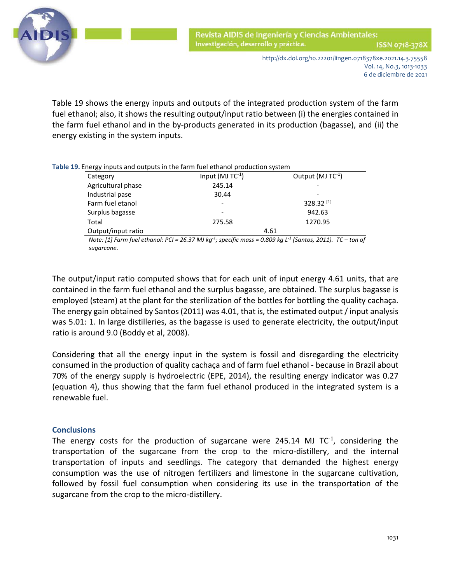

 Table 19 shows the energy inputs and outputs of the integrated production system of the farm fuel ethanol; also, it shows the resulting output/input ratio between (i) the energies contained in the farm fuel ethanol and in the by-products generated in its production (bagasse), and (ii) the energy existing in the system inputs.

| Category           | Input $(MJTC^{-1})$ | Output (MJ TC-1) |
|--------------------|---------------------|------------------|
| Agricultural phase | 245.14              |                  |
| Industrial pase    | 30.44               |                  |
| Farm fuel etanol   | -                   | 328.32 [1]       |
| Surplus bagasse    | -                   | 942.63           |
| Total              | 275.58              | 1270.95          |
| Output/input ratio |                     | 4.61             |

*Note: [1] Farm fuel ethanol: PCI = 26.37 MJ kg-1; specific mass = 0.809 kg L-1 (Santos, 2011). TC – ton of sugarcane*.

The output/input ratio computed shows that for each unit of input energy 4.61 units, that are contained in the farm fuel ethanol and the surplus bagasse, are obtained. The surplus bagasse is employed (steam) at the plant for the sterilization of the bottles for bottling the quality cachaça. The energy gain obtained by Santos (2011) was 4.01, that is, the estimated output / input analysis was 5.01: 1. In large distilleries, as the bagasse is used to generate electricity, the output/input ratio is around 9.0 (Boddy et al, 2008).

Considering that all the energy input in the system is fossil and disregarding the electricity consumed in the production of quality cachaça and of farm fuel ethanol - because in Brazil about 70% of the energy supply is hydroelectric (EPE, 2014), the resulting energy indicator was 0.27 (equation 4), thus showing that the farm fuel ethanol produced in the integrated system is a renewable fuel.

# **Conclusions**

The energy costs for the production of sugarcane were 245.14 MJ  $TC^1$ , considering the transportation of the sugarcane from the crop to the micro-distillery, and the internal transportation of inputs and seedlings. The category that demanded the highest energy consumption was the use of nitrogen fertilizers and limestone in the sugarcane cultivation, followed by fossil fuel consumption when considering its use in the transportation of the sugarcane from the crop to the micro-distillery.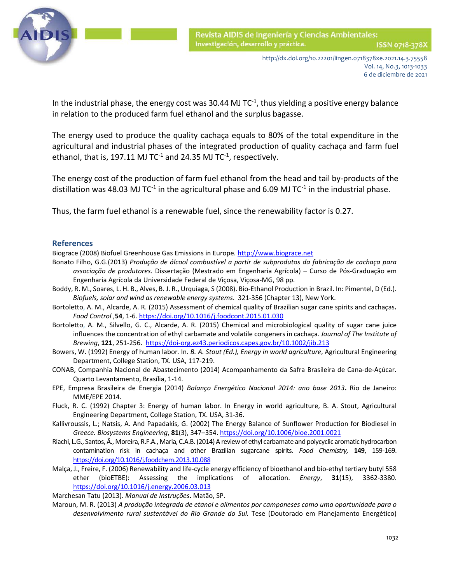

In the industrial phase, the energy cost was 30.44 MJ  $TC^{-1}$ , thus yielding a positive energy balance in relation to the produced farm fuel ethanol and the surplus bagasse.

The energy used to produce the quality cachaça equals to 80% of the total expenditure in the agricultural and industrial phases of the integrated production of quality cachaça and farm fuel ethanol, that is, 197.11 MJ TC $1$  and 24.35 MJ TC $1$ , respectively.

The energy cost of the production of farm fuel ethanol from the head and tail by-products of the distillation was 48.03 MJ TC<sup>-1</sup> in the agricultural phase and 6.09 MJ TC<sup>-1</sup> in the industrial phase.

Thus, the farm fuel ethanol is a renewable fuel, since the renewability factor is 0.27.

#### **References**

Biograce (2008) Biofuel Greenhouse Gas Emissions in Europe*.* [http://www.biograce.net](http://www.biograce.net/)

- Bonato Filho, G.G.(2013) *Produção de álcool combustível a partir de subprodutos da fabricação de cachaça para associação de produtores.* Dissertação (Mestrado em Engenharia Agrícola) – Curso de Pós-Graduação em Engenharia Agrícola da Universidade Federal de Viçosa, Viçosa-MG, 98 pp.
- Boddy, R. M., Soares, L. H. B., Alves, B. J. R., Urquiaga, S (2008). Bio-Ethanol Production in Brazil. In: Pimentel, D (Ed.). *Biofuels, solar and wind as renewable energy systems*. 321-356 (Chapter 13), New York.
- Bortoletto, A. M., Alcarde, A. R. (2015) Assessment of chemical quality of Brazilian sugar cane spirits and cachaças**.**  *Food Control* ,**54**, 1-6.<https://doi.org/10.1016/j.foodcont.2015.01.030>
- Bortoletto, A. M., Silvello, G. C., Alcarde, A. R. (2015) Chemical and microbiological quality of sugar cane juice influences the concentration of ethyl carbamate and volatile congeners in cachaça*. Journal of The Institute of Brewing*, **121**, 251-256. <https://doi-org.ez43.periodicos.capes.gov.br/10.1002/jib.213>
- Bowers, W. (1992) Energy of human labor*.* In. *B. A. Stout (Ed.), Energy in world agriculture*, Agricultural Engineering Department, College Station, TX. USA, 117-219.
- CONAB, Companhia Nacional de Abastecimento (2014) Acompanhamento da Safra Brasileira de Cana-de-Açúcar**.**  Quarto Levantamento, Brasília, 1-14.
- EPE, Empresa Brasileira de Energia (2014) *Balanço Energético Nacional 2014: ano base 2013***.** Rio de Janeiro: MME/EPE 2014.
- Fluck, R. C. (1992) Chapter 3: Energy of human labor. In Energy in world agriculture, B. A. Stout, Agricultural Engineering Department, College Station, TX. USA, 31-36.
- Kallivroussis, L.; Natsis, A. And Papadakis, G. (2002) The Energy Balance of Sunflower Production for Biodiesel in *Greece. Biosystems Engineering*, **81**(3), 347–354. [https://doi.org/10.1006/bioe.2001.0021](https://doi-org.ez43.periodicos.capes.gov.br/10.1006/bioe.2001.0021)
- Riachi, L.G., Santos, Â., Moreira, R.F.A., Maria, C.A.B. (2014) A review of ethyl carbamate and polycyclic aromatic hydrocarbon contamination risk in cachaça and other Brazilian sugarcane spirits*. Food Chemistry,* **149**, 159-169. [https://doi.org/10.1016/j.foodchem.2013.10.088](https://doi-org.ez43.periodicos.capes.gov.br/10.1016/j.foodchem.2013.10.088)
- Malça, J., Freire, F. (2006) Renewability and life-cycle energy efficiency of bioethanol and bio-ethyl tertiary butyl 558 ether (bioETBE): Assessing the implications of allocation. *Energy*, **31**(15), 3362-3380. <https://doi.org/10.1016/j.energy.2006.03.013>

Marchesan Tatu (2013). *Manual de Instruções***.** Matão, SP.

Maroun, M. R. (2013) *A produção integrada de etanol e alimentos por camponeses como uma oportunidade para o desenvolvimento rural sustentável do Rio Grande do Sul.* Tese (Doutorado em Planejamento Energético)